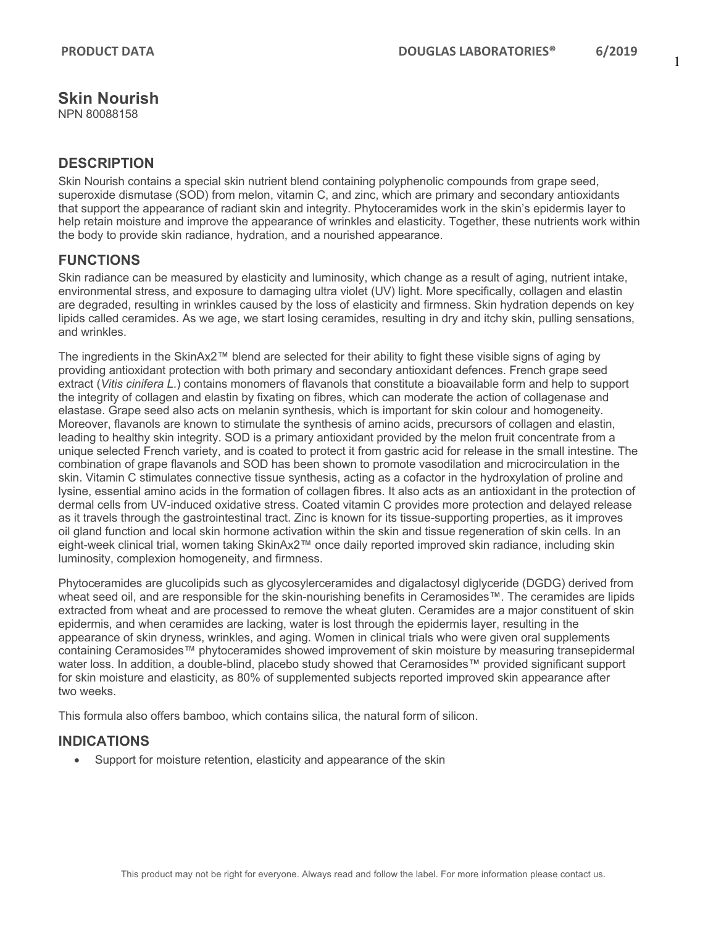1

# **Skin Nourish**

NPN 80088158

### **DESCRIPTION**

Skin Nourish contains a special skin nutrient blend containing polyphenolic compounds from grape seed, superoxide dismutase (SOD) from melon, vitamin C, and zinc, which are primary and secondary antioxidants that support the appearance of radiant skin and integrity. Phytoceramides work in the skin's epidermis layer to help retain moisture and improve the appearance of wrinkles and elasticity. Together, these nutrients work within the body to provide skin radiance, hydration, and a nourished appearance.

## **FUNCTIONS**

Skin radiance can be measured by elasticity and luminosity, which change as a result of aging, nutrient intake, environmental stress, and exposure to damaging ultra violet (UV) light. More specifically, collagen and elastin are degraded, resulting in wrinkles caused by the loss of elasticity and firmness. Skin hydration depends on key lipids called ceramides. As we age, we start losing ceramides, resulting in dry and itchy skin, pulling sensations, and wrinkles.

The ingredients in the SkinAx2™ blend are selected for their ability to fight these visible signs of aging by providing antioxidant protection with both primary and secondary antioxidant defences. French grape seed extract (*Vitis cinifera L*.) contains monomers of flavanols that constitute a bioavailable form and help to support the integrity of collagen and elastin by fixating on fibres, which can moderate the action of collagenase and elastase. Grape seed also acts on melanin synthesis, which is important for skin colour and homogeneity. Moreover, flavanols are known to stimulate the synthesis of amino acids, precursors of collagen and elastin, leading to healthy skin integrity. SOD is a primary antioxidant provided by the melon fruit concentrate from a unique selected French variety, and is coated to protect it from gastric acid for release in the small intestine. The combination of grape flavanols and SOD has been shown to promote vasodilation and microcirculation in the skin. Vitamin C stimulates connective tissue synthesis, acting as a cofactor in the hydroxylation of proline and lysine, essential amino acids in the formation of collagen fibres. It also acts as an antioxidant in the protection of dermal cells from UV-induced oxidative stress. Coated vitamin C provides more protection and delayed release as it travels through the gastrointestinal tract. Zinc is known for its tissue-supporting properties, as it improves oil gland function and local skin hormone activation within the skin and tissue regeneration of skin cells. In an eight-week clinical trial, women taking SkinAx2™ once daily reported improved skin radiance, including skin luminosity, complexion homogeneity, and firmness.

Phytoceramides are glucolipids such as glycosylerceramides and digalactosyl diglyceride (DGDG) derived from wheat seed oil, and are responsible for the skin-nourishing benefits in Ceramosides™. The ceramides are lipids extracted from wheat and are processed to remove the wheat gluten. Ceramides are a major constituent of skin epidermis, and when ceramides are lacking, water is lost through the epidermis layer, resulting in the appearance of skin dryness, wrinkles, and aging. Women in clinical trials who were given oral supplements containing Ceramosides™ phytoceramides showed improvement of skin moisture by measuring transepidermal water loss. In addition, a double-blind, placebo study showed that Ceramosides™ provided significant support for skin moisture and elasticity, as 80% of supplemented subjects reported improved skin appearance after two weeks.

This formula also offers bamboo, which contains silica, the natural form of silicon.

## **INDICATIONS**

• Support for moisture retention, elasticity and appearance of the skin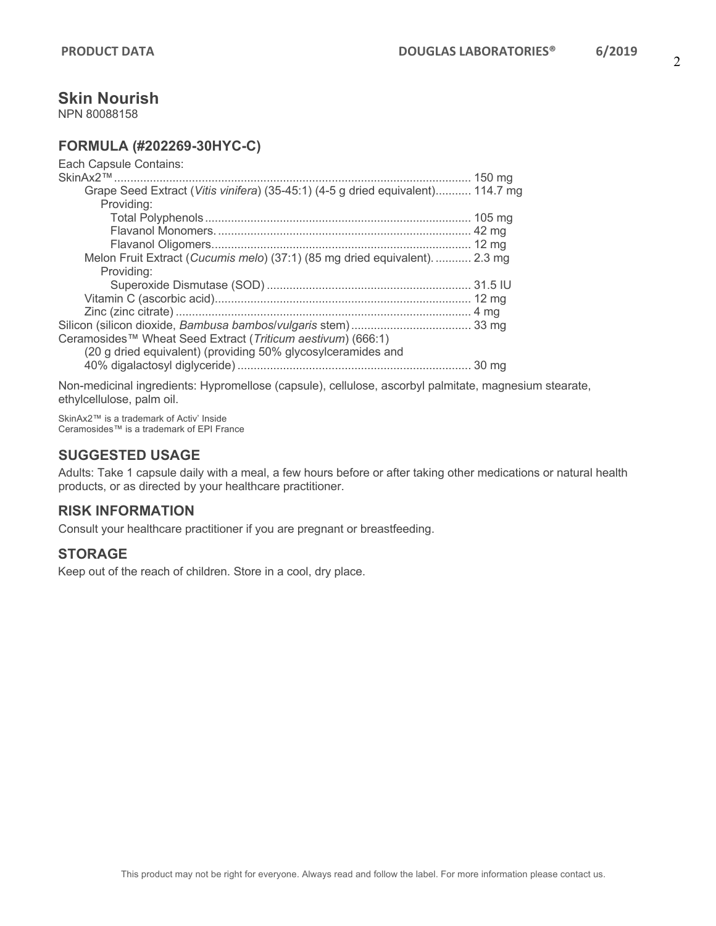## **Skin Nourish**

NPN 80088158

## **FORMULA (#202269-30HYC-C)**

| Grape Seed Extract (Vitis vinifera) (35-45:1) (4-5 g dried equivalent) 114.7 mg |
|---------------------------------------------------------------------------------|
|                                                                                 |
|                                                                                 |
|                                                                                 |
|                                                                                 |
| Melon Fruit Extract (Cucumis melo) (37:1) (85 mg dried equivalent) 2.3 mg       |
|                                                                                 |
|                                                                                 |
|                                                                                 |
|                                                                                 |
|                                                                                 |
|                                                                                 |
|                                                                                 |
|                                                                                 |
|                                                                                 |

Non-medicinal ingredients: Hypromellose (capsule), cellulose, ascorbyl palmitate, magnesium stearate, ethylcellulose, palm oil.

SkinAx2™ is a trademark of Activ' Inside Ceramosides™ is a trademark of EPI France

### **SUGGESTED USAGE**

Adults: Take 1 capsule daily with a meal, a few hours before or after taking other medications or natural health products, or as directed by your healthcare practitioner.

## **RISK INFORMATION**

Consult your healthcare practitioner if you are pregnant or breastfeeding.

#### **STORAGE**

Keep out of the reach of children. Store in a cool, dry place.